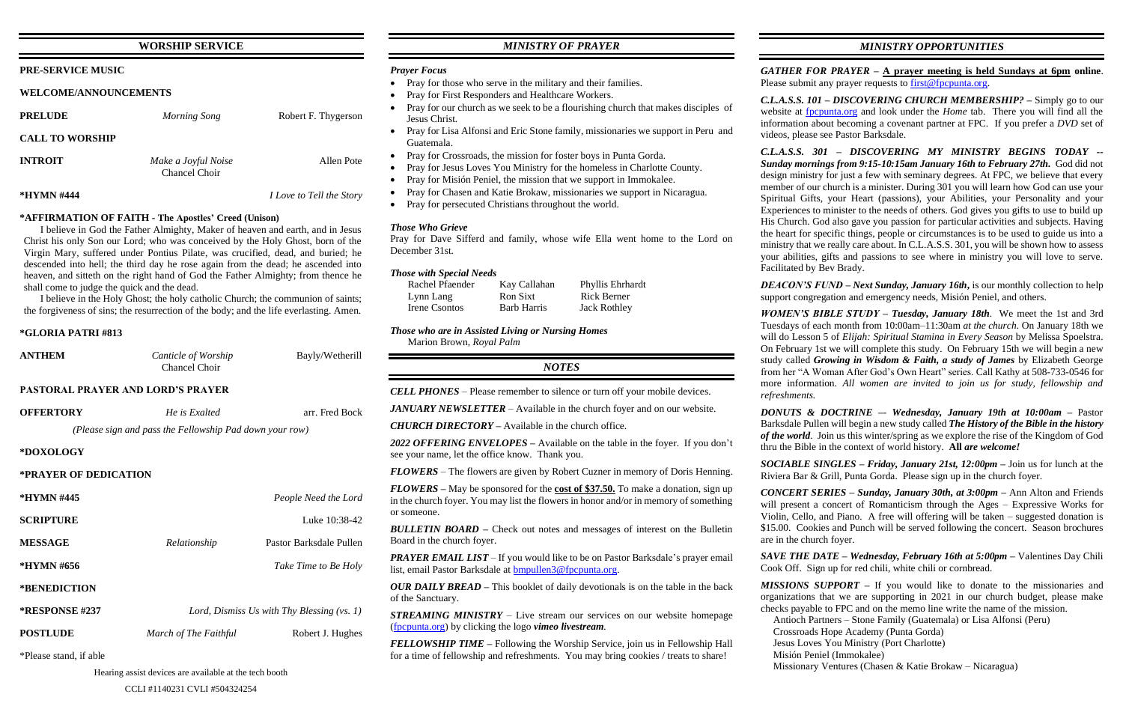### **WORSHIP SERVICE**

### **PRE-SERVICE MUSIC**

### **WELCOME/ANNOUNCEMENTS**

| <b>PRELUDE</b>         | Morning Song                         | Robert F. Thygerson             |
|------------------------|--------------------------------------|---------------------------------|
| <b>CALL TO WORSHIP</b> |                                      |                                 |
| <b>INTROIT</b>         | Make a Joyful Noise<br>Chancel Choir | Allen Pote                      |
| *HYMN #444             |                                      | <i>I Love to Tell the Story</i> |

### **\*AFFIRMATION OF FAITH - The Apostles' Creed (Unison)**

I believe in God the Father Almighty, Maker of heaven and earth, and in Jesus Christ his only Son our Lord; who was conceived by the Holy Ghost, born of the Virgin Mary, suffered under Pontius Pilate, was crucified, dead, and buried; he descended into hell; the third day he rose again from the dead; he ascended into heaven, and sitteth on the right hand of God the Father Almighty; from thence he shall come to judge the quick and the dead.

I believe in the Holy Ghost; the holy catholic Church; the communion of saints; the forgiveness of sins; the resurrection of the body; and the life everlasting. Amen.

### **\*GLORIA PATRI #813**

| <b>ANTHEM</b> | Canticle of Worship | Bayly/Wetherill |
|---------------|---------------------|-----------------|
|               | Chancel Choir       |                 |
|               |                     |                 |

### **PASTORAL PRAYER AND LORD'S PRAYER**

| <b>OFFERTORY</b>       | He is Exalted                                           | arr. Fred Bock                               |
|------------------------|---------------------------------------------------------|----------------------------------------------|
|                        | (Please sign and pass the Fellowship Pad down your row) |                                              |
| *DOXOLOGY              |                                                         |                                              |
| *PRAYER OF DEDICATION  |                                                         |                                              |
| *HYMN #445             |                                                         | People Need the Lord                         |
| <b>SCRIPTURE</b>       |                                                         | Luke 10:38-42                                |
| <b>MESSAGE</b>         | Relationship                                            | Pastor Barksdale Pullen                      |
| *HYMN #656             |                                                         | Take Time to Be Holy                         |
| *BENEDICTION           |                                                         |                                              |
| *RESPONSE #237         |                                                         | Lord, Dismiss Us with Thy Blessing $(vs. 1)$ |
| <b>POSTLUDE</b>        | March of The Faithful                                   | Robert J. Hughes                             |
| *Please stand, if able |                                                         |                                              |

Hearing assist devices are available at the tech booth

## *MINISTRY OF PRAYER*

### *Prayer Focus*

- Pray for those who serve in the military and their families.
- Pray for First Responders and Healthcare Workers.
- Pray for our church as we seek to be a flourishing church that makes disciples of Jesus Christ.
- Pray for Lisa Alfonsi and Eric Stone family, missionaries we support in Peru and Guatemala.
- Pray for Crossroads, the mission for foster boys in Punta Gorda.
- Pray for Jesus Loves You Ministry for the homeless in Charlotte County.
- Pray for Misión Peniel, the mission that we support in Immokalee.
- Pray for Chasen and Katie Brokaw, missionaries we support in Nicaragua.
- Pray for persecuted Christians throughout the world.

*GATHER FOR PRAYER –* **A prayer meeting is held Sundays at 6pm online**. Please submit any prayer requests to [first@fpcpunta.org.](about:blank)

### *Those Who Grieve*

Pray for Dave Sifferd and family, whose wife Ella went home to the Lord on December 31st.

### *Those with Special Needs*

| Rachel Pfaender | Kay Callahan       | Phyllis Ehrhardt    |
|-----------------|--------------------|---------------------|
| Lynn Lang       | Ron Sixt           | Rick Berner         |
| Irene Csontos   | <b>Barb Harris</b> | <b>Jack Rothley</b> |

*Those who are in Assisted Living or Nursing Homes*

Marion Brown, *Royal Palm*

*NOTES*

|                                                         | <b>CELL PHONES</b> – Please remember to silence or turn off your mobile devices.                                                                                                              |
|---------------------------------------------------------|-----------------------------------------------------------------------------------------------------------------------------------------------------------------------------------------------|
| arr. Fred Bock<br>own your row)                         | <b>JANUARY NEWSLETTER</b> – Available in the church foyer and on our website.                                                                                                                 |
|                                                         | <b>CHURCH DIRECTORY</b> – Available in the church office.                                                                                                                                     |
|                                                         | 2022 OFFERING ENVELOPES – Available on the table in the foyer. If you don't<br>see your name, let the office know. Thank you.                                                                 |
|                                                         | <b>FLOWERS</b> – The flowers are given by Robert Cuzner in memory of Doris Henning.                                                                                                           |
| People Need the Lord                                    | <b>FLOWERS</b> – May be sponsored for the cost of \$37.50. To make a donation, sign up<br>in the church foyer. You may list the flowers in honor and/or in memory of something<br>or someone. |
| Luke 10:38-42                                           |                                                                                                                                                                                               |
| Pastor Barksdale Pullen                                 | <b>BULLETIN BOARD</b> – Check out notes and messages of interest on the Bulletin<br>Board in the church foyer.                                                                                |
| Take Time to Be Holy                                    | <b>PRAYER EMAIL LIST</b> – If you would like to be on Pastor Barksdale's prayer email<br>list, email Pastor Barksdale at bmpullen3@fpcpunta.org.                                              |
|                                                         | <b>OUR DAILY BREAD</b> – This booklet of daily devotionals is on the table in the back<br>of the Sanctuary.                                                                                   |
| <i>Js with Thy Blessing (vs. 1)</i><br>Robert J. Hughes | <b>STREAMING MINISTRY</b> – Live stream our services on our website homepage<br>(frequita.org) by clicking the logo vimeo livestream.                                                         |
|                                                         | <b>FELLOWSHIP TIME</b> – Following the Worship Service, join us in Fellowship Hall<br>for a time of fellowship and refreshments. You may bring cookies / treats to share!                     |

*MINISTRY OPPORTUNITIES*

*C.L.A.S.S. 101 – DISCOVERING CHURCH MEMBERSHIP? –* Simply go to our website at [fpcpunta.org](about:blank) and look under the *Home* tab. There you will find all the information about becoming a covenant partner at FPC. If you prefer a *DVD* set of videos, please see Pastor Barksdale.

*C.L.A.S.S. 301 – DISCOVERING MY MINISTRY BEGINS TODAY -- Sunday mornings from 9:15-10:15am January 16th to February 27th.* God did not design ministry for just a few with seminary degrees. At FPC, we believe that every member of our church is a minister. During 301 you will learn how God can use your Spiritual Gifts, your Heart (passions), your Abilities, your Personality and your Experiences to minister to the needs of others. God gives you gifts to use to build up His Church. God also gave you passion for particular activities and subjects. Having the heart for specific things, people or circumstances is to be used to guide us into a ministry that we really care about. In C.L.A.S.S. 301, you will be shown how to assess your abilities, gifts and passions to see where in ministry you will love to serve. Facilitated by Bev Brady.

*DEACON'S FUND – Next Sunday, January 16th***,** is our monthly collection to help support congregation and emergency needs, Misión Peniel, and others.

*WOMEN'S BIBLE STUDY – Tuesday, January 18th*. We meet the 1st and 3rd Tuesdays of each month from 10:00am–11:30am *at the church*. On January 18th we will do Lesson 5 of *Elijah: Spiritual Stamina in Every Season* by Melissa Spoelstra. On February 1st we will complete this study. On February 15th we will begin a new study called *Growing in Wisdom & Faith, a study of James* by Elizabeth George from her "A Woman After God's Own Heart" series. Call Kathy at 508-733-0546 for more information. *All women are invited to join us for study, fellowship and refreshments.*

*DONUTS & DOCTRINE –*- *Wednesday, January 19th at 10:00am –* Pastor Barksdale Pullen will begin a new study called *The History of the Bible in the history of the world*. Join us this winter/spring as we explore the rise of the Kingdom of God thru the Bible in the context of world history. **All** *are welcome!*

*SOCIABLE SINGLES – Friday, January 21st, 12:00pm –* Join us for lunch at the Riviera Bar & Grill, Punta Gorda. Please sign up in the church foyer.

*CONCERT SERIES – Sunday, January 30th, at 3:00pm –* Ann Alton and Friends will present a concert of Romanticism through the Ages – Expressive Works for Violin, Cello, and Piano. A free will offering will be taken – suggested donation is \$15.00. Cookies and Punch will be served following the concert. Season brochures are in the church foyer.

*SAVE THE DATE – Wednesday, February 16th at 5:00pm –* Valentines Day Chili Cook Off. Sign up for red chili, white chili or cornbread.

*MISSIONS SUPPORT –* If you would like to donate to the missionaries and organizations that we are supporting in 2021 in our church budget, please make checks payable to FPC and on the memo line write the name of the mission. Antioch Partners – Stone Family (Guatemala) or Lisa Alfonsi (Peru) Crossroads Hope Academy (Punta Gorda)

- 
- 
- Jesus Loves You Ministry (Port Charlotte)
- Misión Peniel (Immokalee)
- Missionary Ventures (Chasen & Katie Brokaw Nicaragua)